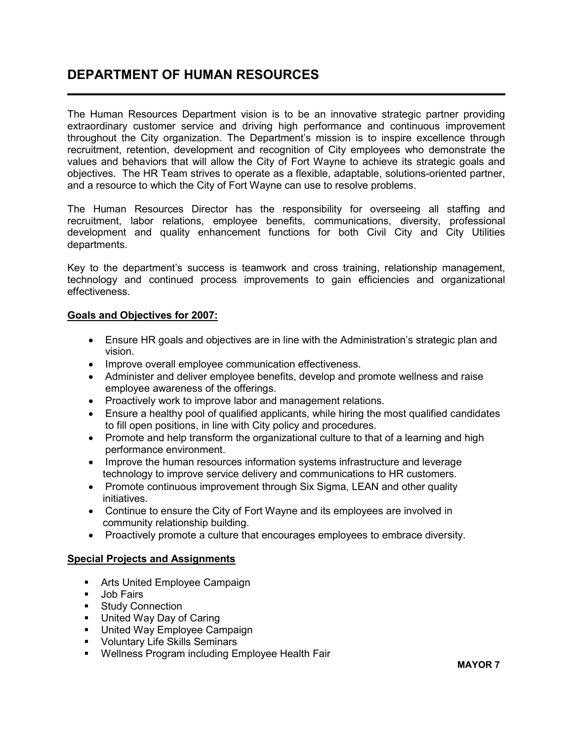## DEPARTMENT OF HUMAN RESOURCES L

The Human Resources Department vision is to be an innovative strategic partner providing extraordinary customer service and driving high performance and continuous improvement throughout the City organization. The Department's mission is to inspire excellence through recruitment, retention, development and recognition of City employees who demonstrate the values and behaviors that will allow the City of Fort Wayne to achieve its strategic goals and objectives. The HR Team strives to operate as a flexible, adaptable, solutions-oriented partner, and a resource to which the City of Fort Wayne can use to resolve problems.

The Human Resources Director has the responsibility for overseeing all staffing and recruitment, labor relations, employee benefits, communications, diversity, professional development and quality enhancement functions for both Civil City and City Utilities departments.

Key to the department's success is teamwork and cross training, relationship management, technology and continued process improvements to gain efficiencies and organizational effectiveness.

#### Goals and Objectives for 2007:

- Ensure HR goals and objectives are in line with the Administration's strategic plan and vision.
- Improve overall employee communication effectiveness.
- Administer and deliver employee benefits, develop and promote wellness and raise employee awareness of the offerings.
- Proactively work to improve labor and management relations.
- Ensure a healthy pool of qualified applicants, while hiring the most qualified candidates to fill open positions, in line with City policy and procedures.
- Promote and help transform the organizational culture to that of a learning and high performance environment.
- Improve the human resources information systems infrastructure and leverage technology to improve service delivery and communications to HR customers.
- Promote continuous improvement through Six Sigma, LEAN and other quality initiatives.
- Continue to ensure the City of Fort Wayne and its employees are involved in community relationship building.
- Proactively promote a culture that encourages employees to embrace diversity.

### Special Projects and Assignments

- **Arts United Employee Campaign**
- **Job Fairs**
- **Study Connection**
- **United Way Day of Caring**
- **United Way Employee Campaign**
- **Voluntary Life Skills Seminars**
- **Wellness Program including Employee Health Fair**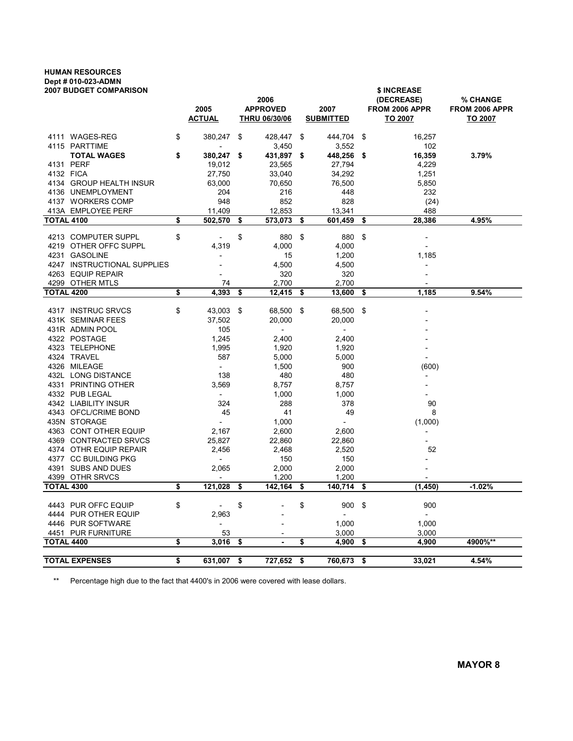## HUMAN RESOURCES Dept # 010-023-ADMN

|                   | 2007 BUDGET COMPARISON      |                              |      |                      |                          |     | \$ INCREASE              |                |  |  |
|-------------------|-----------------------------|------------------------------|------|----------------------|--------------------------|-----|--------------------------|----------------|--|--|
|                   |                             |                              |      | 2006                 |                          |     | (DECREASE)               | % CHANGE       |  |  |
|                   |                             | 2005                         |      | <b>APPROVED</b>      | 2007                     |     | FROM 2006 APPR           | FROM 2006 APPR |  |  |
|                   |                             | <b>ACTUAL</b>                |      | <b>THRU 06/30/06</b> | <b>SUBMITTED</b>         |     | TO 2007                  | TO 2007        |  |  |
|                   | 4111 WAGES-REG              | \$<br>380,247                | \$   | 428,447              | \$<br>444,704            | \$  | 16,257                   |                |  |  |
|                   | 4115 PARTTIME               |                              |      | 3,450                | 3,552                    |     | 102                      |                |  |  |
|                   | <b>TOTAL WAGES</b>          | \$<br>380,247                | - \$ | 431,897              | \$<br>448,256            | \$  | 16,359                   | 3.79%          |  |  |
|                   | 4131 PERF                   | 19,012                       |      | 23,565               | 27,794                   |     | 4,229                    |                |  |  |
| 4132 FICA         |                             | 27,750                       |      | 33,040               | 34,292                   |     | 1,251                    |                |  |  |
|                   | 4134 GROUP HEALTH INSUR     | 63,000                       |      | 70,650               | 76,500                   |     | 5,850                    |                |  |  |
|                   | 4136 UNEMPLOYMENT           | 204                          |      | 216                  | 448                      |     | 232                      |                |  |  |
|                   | 4137 WORKERS COMP           | 948                          |      | 852                  | 828                      |     | (24)                     |                |  |  |
|                   | 413A EMPLOYEE PERF          | 11,409                       |      | 12,853               | 13,341                   |     | 488                      |                |  |  |
| <b>TOTAL 4100</b> |                             | \$<br>502,570                | \$   | 573,073              | \$<br>601,459            | \$  | 28,386                   | 4.95%          |  |  |
|                   | 4213 COMPUTER SUPPL         | \$                           | \$   | 880                  | \$<br>880                | \$  |                          |                |  |  |
|                   | 4219 OTHER OFFC SUPPL       | 4,319                        |      | 4,000                | 4,000                    |     |                          |                |  |  |
|                   | 4231 GASOLINE               |                              |      | 15                   | 1,200                    |     | 1,185                    |                |  |  |
|                   | 4247 INSTRUCTIONAL SUPPLIES | $\overline{\phantom{a}}$     |      | 4,500                | 4,500                    |     |                          |                |  |  |
|                   | 4263 EQUIP REPAIR           |                              |      | 320                  | 320                      |     |                          |                |  |  |
|                   | 4299 OTHER MTLS             | 74                           |      | 2,700                | 2,700                    |     |                          |                |  |  |
| <b>TOTAL 4200</b> |                             | \$<br>4,393                  | \$   | 12,415               | \$<br>13,600             | \$  | 1,185                    | 9.54%          |  |  |
|                   |                             |                              |      |                      |                          |     |                          |                |  |  |
|                   | 4317 INSTRUC SRVCS          | \$<br>43,003                 | -\$  | 68,500               | \$<br>68,500             | -\$ |                          |                |  |  |
|                   | 431K SEMINAR FEES           | 37,502                       |      | 20,000               | 20,000                   |     |                          |                |  |  |
|                   | 431R ADMIN POOL             | 105                          |      |                      | $\overline{\phantom{a}}$ |     |                          |                |  |  |
|                   | 4322 POSTAGE                | 1,245                        |      | 2,400                | 2,400                    |     |                          |                |  |  |
|                   | 4323 TELEPHONE              | 1,995                        |      | 1,920                | 1,920                    |     |                          |                |  |  |
|                   | 4324 TRAVEL                 | 587                          |      | 5,000                | 5,000                    |     |                          |                |  |  |
|                   | 4326 MILEAGE                | $\overline{\phantom{a}}$     |      | 1,500                | 900                      |     | (600)                    |                |  |  |
|                   | 432L LONG DISTANCE          | 138                          |      | 480                  | 480                      |     |                          |                |  |  |
|                   | 4331 PRINTING OTHER         | 3,569                        |      | 8,757                | 8,757                    |     |                          |                |  |  |
|                   | 4332 PUB LEGAL              | $\sim$                       |      | 1,000                | 1,000                    |     |                          |                |  |  |
|                   | 4342 LIABILITY INSUR        | 324                          |      | 288                  | 378                      |     | 90                       |                |  |  |
|                   | 4343 OFCL/CRIME BOND        | 45                           |      | 41                   | 49                       |     | 8                        |                |  |  |
|                   | 435N STORAGE                | $\overline{a}$               |      | 1,000                | $\overline{a}$           |     | (1,000)                  |                |  |  |
|                   | 4363 CONT OTHER EQUIP       | 2,167                        |      | 2,600                | 2,600                    |     |                          |                |  |  |
|                   | 4369 CONTRACTED SRVCS       | 25,827                       |      | 22,860               | 22,860                   |     |                          |                |  |  |
|                   | 4374 OTHR EQUIP REPAIR      | 2,456                        |      | 2,468                | 2,520                    |     | 52                       |                |  |  |
|                   | 4377 CC BUILDING PKG        | $\overline{\phantom{a}}$     |      | 150                  | 150                      |     |                          |                |  |  |
|                   | 4391 SUBS AND DUES          | 2,065                        |      | 2,000                | 2,000                    |     |                          |                |  |  |
|                   | 4399 OTHR SRVCS             | $\overline{\phantom{a}}$     |      | 1,200                | 1,200                    |     |                          |                |  |  |
| <b>TOTAL 4300</b> |                             | \$<br>121,028                | \$   | 142,164              | \$<br>140,714            | \$  | (1, 450)                 | $-1.02%$       |  |  |
|                   | 4443 PUR OFFC EQUIP         | \$<br>$\overline{a}$         | \$   |                      | \$<br>900                | -\$ | 900                      |                |  |  |
|                   | 4444 PUR OTHER EQUIP        | 2,963                        |      |                      | $\overline{\phantom{a}}$ |     | $\overline{\phantom{a}}$ |                |  |  |
| 4446              | <b>PUR SOFTWARE</b>         | $\qquad \qquad \blacksquare$ |      |                      | 1,000                    |     | 1,000                    |                |  |  |
|                   | 4451 PUR FURNITURE          | 53                           |      |                      | 3,000                    |     | 3,000                    |                |  |  |
| <b>TOTAL 4400</b> |                             | \$<br>3,016                  | \$   | $\sim$               | \$<br>4,900              | \$  | 4,900                    | 4900%**        |  |  |
|                   |                             |                              |      |                      |                          |     |                          |                |  |  |
|                   | <b>TOTAL EXPENSES</b>       | \$<br>631,007                | \$   | 727,652              | \$<br>760,673            | \$  | 33,021                   | 4.54%          |  |  |

\*\* Percentage high due to the fact that 4400's in 2006 were covered with lease dollars.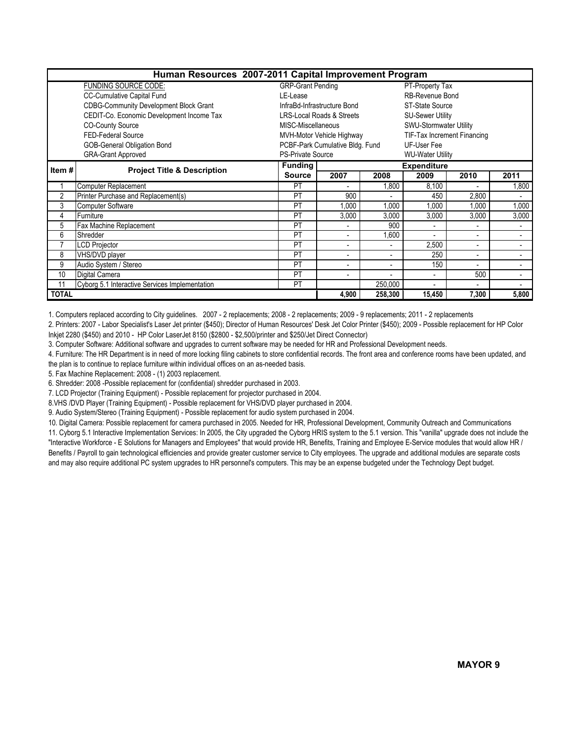| Human Resources 2007-2011 Capital Improvement Program |                                                |                                 |                                                     |                          |                             |                          |                          |  |  |  |
|-------------------------------------------------------|------------------------------------------------|---------------------------------|-----------------------------------------------------|--------------------------|-----------------------------|--------------------------|--------------------------|--|--|--|
|                                                       | <b>FUNDING SOURCE CODE:</b>                    | <b>GRP-Grant Pending</b>        |                                                     |                          | PT-Property Tax             |                          |                          |  |  |  |
|                                                       | <b>CC-Cumulative Capital Fund</b>              | LE-Lease                        |                                                     |                          | RB-Revenue Bond             |                          |                          |  |  |  |
|                                                       | <b>CDBG-Community Development Block Grant</b>  |                                 | InfraBd-Infrastructure Bond                         |                          | <b>ST-State Source</b>      |                          |                          |  |  |  |
|                                                       | CEDIT-Co. Economic Development Income Tax      |                                 | <b>LRS-Local Roads &amp; Streets</b>                |                          | <b>SU-Sewer Utility</b>     |                          |                          |  |  |  |
|                                                       | <b>CO-County Source</b>                        | MISC-Miscellaneous              |                                                     |                          | SWU-Stormwater Utility      |                          |                          |  |  |  |
|                                                       | FED-Federal Source                             |                                 | MVH-Motor Vehicle Highway                           |                          | TIF-Tax Increment Financing |                          |                          |  |  |  |
|                                                       | GOB-General Obligation Bond                    | PCBF-Park Cumulative Bldg. Fund |                                                     |                          |                             |                          |                          |  |  |  |
|                                                       | <b>GRA-Grant Approved</b>                      |                                 | <b>PS-Private Source</b><br><b>WU-Water Utility</b> |                          |                             |                          |                          |  |  |  |
| Item#                                                 | <b>Project Title &amp; Description</b>         | <b>Funding</b>                  |                                                     |                          | <b>Expenditure</b>          |                          |                          |  |  |  |
|                                                       |                                                | <b>Source</b>                   | 2007                                                | 2008                     | 2009                        | 2010                     | 2011                     |  |  |  |
|                                                       | Computer Replacement                           | PT                              | ۰                                                   | 1,800                    | 8,100                       |                          | 1,800                    |  |  |  |
| 2                                                     | Printer Purchase and Replacement(s)            | PT                              | 900                                                 |                          | 450                         | 2,800                    |                          |  |  |  |
| 3                                                     | <b>Computer Software</b>                       | <b>PT</b>                       | .000                                                | 1.000                    | .000                        | 1.000                    | 1.000                    |  |  |  |
| 4                                                     | Furniture                                      | PT                              | 3,000                                               | 3,000                    | 3,000                       | 3,000                    | 3,000                    |  |  |  |
| 5                                                     | Fax Machine Replacement                        | PT                              | $\blacksquare$                                      | 900                      |                             |                          | $\blacksquare$           |  |  |  |
| 6                                                     | Shredder                                       | PT                              | ۰                                                   | 1,600                    |                             |                          | ۰                        |  |  |  |
| 7                                                     | <b>LCD Projector</b>                           | PT                              | $\overline{\phantom{a}}$                            | ٠                        | 2,500                       | $\overline{\phantom{a}}$ | $\overline{\phantom{a}}$ |  |  |  |
| 8                                                     | VHS/DVD player                                 | PT                              | $\blacksquare$                                      | $\overline{\phantom{a}}$ | 250                         | $\blacksquare$           | $\blacksquare$           |  |  |  |
| 9                                                     | Audio System / Stereo                          | PT                              | $\blacksquare$                                      |                          | 150                         |                          | $\overline{\phantom{0}}$ |  |  |  |
| 10                                                    | Digital Camera                                 | PT                              | $\blacksquare$                                      |                          | $\blacksquare$              | 500                      | $\overline{\phantom{0}}$ |  |  |  |
| 11                                                    | Cyborg 5.1 Interactive Services Implementation | PT                              |                                                     | 250,000                  | $\blacksquare$              | $\blacksquare$           |                          |  |  |  |
| <b>TOTAL</b>                                          |                                                |                                 | 4,900                                               | 258,300                  | 15,450                      | 7,300                    | 5,800                    |  |  |  |

1. Computers replaced according to City guidelines. 2007 - 2 replacements; 2008 - 2 replacements; 2009 - 9 replacements; 2011 - 2 replacements

2. Printers: 2007 - Labor Specialist's Laser Jet printer (\$450); Director of Human Resources' Desk Jet Color Printer (\$450); 2009 - Possible replacement for HP Color Inkjet 2280 (\$450) and 2010 - HP Color LaserJet 8150 (\$2800 - \$2,500/printer and \$250/Jet Direct Connector)

3. Computer Software: Additional software and upgrades to current software may be needed for HR and Professional Development needs.

4. Furniture: The HR Department is in need of more locking filing cabinets to store confidential records. The front area and conference rooms have been updated, and the plan is to continue to replace furniture within individual offices on an as-needed basis.

5. Fax Machine Replacement: 2008 - (1) 2003 replacement.

6. Shredder: 2008 -Possible replacement for (confidential) shredder purchased in 2003.

7. LCD Projector (Training Equipment) - Possible replacement for projector purchased in 2004.

8.VHS /DVD Player (Training Equipment) - Possible replacement for VHS/DVD player purchased in 2004.

9. Audio System/Stereo (Training Equipment) - Possible replacement for audio system purchased in 2004.

10. Digital Camera: Possible replacement for camera purchased in 2005. Needed for HR, Professional Development, Community Outreach and Communications 11. Cyborg 5.1 Interactive Implementation Services: In 2005, the City upgraded the Cyborg HRIS system to the 5.1 version. This "vanilla" upgrade does not include the "Interactive Workforce - E Solutions for Managers and Employees" that would provide HR, Benefits, Training and Employee E-Service modules that would allow HR / Benefits / Payroll to gain technological efficiencies and provide greater customer service to City employees. The upgrade and additional modules are separate costs and may also require additional PC system upgrades to HR personnel's computers. This may be an expense budgeted under the Technology Dept budget.